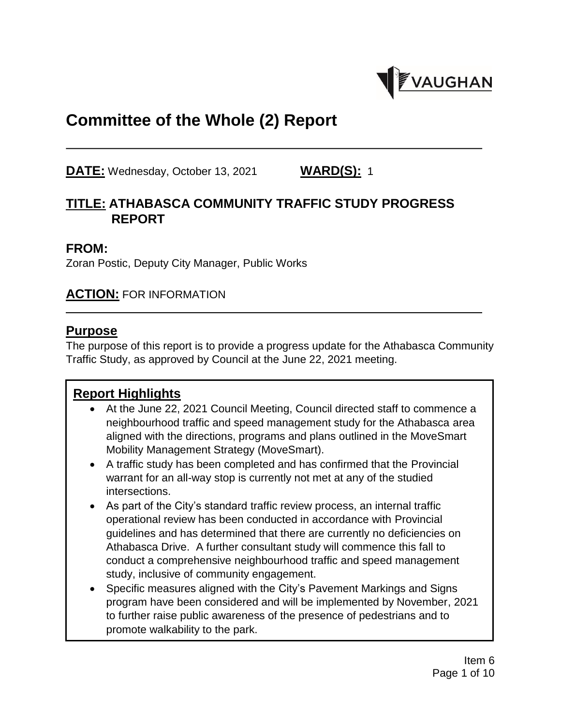

# **Committee of the Whole (2) Report**

**DATE:** Wednesday, October 13, 2021 **WARD(S):** 1

### **TITLE: ATHABASCA COMMUNITY TRAFFIC STUDY PROGRESS REPORT**

#### **FROM:**

Zoran Postic, Deputy City Manager, Public Works

#### **ACTION:** FOR INFORMATION

#### **Purpose**

The purpose of this report is to provide a progress update for the Athabasca Community Traffic Study, as approved by Council at the June 22, 2021 meeting.

#### **Report Highlights**

- At the June 22, 2021 Council Meeting, Council directed staff to commence a neighbourhood traffic and speed management study for the Athabasca area aligned with the directions, programs and plans outlined in the MoveSmart Mobility Management Strategy (MoveSmart).
- A traffic study has been completed and has confirmed that the Provincial warrant for an all-way stop is currently not met at any of the studied intersections.
- As part of the City's standard traffic review process, an internal traffic operational review has been conducted in accordance with Provincial guidelines and has determined that there are currently no deficiencies on Athabasca Drive. A further consultant study will commence this fall to conduct a comprehensive neighbourhood traffic and speed management study, inclusive of community engagement.
- Specific measures aligned with the City's Pavement Markings and Signs program have been considered and will be implemented by November, 2021 to further raise public awareness of the presence of pedestrians and to promote walkability to the park.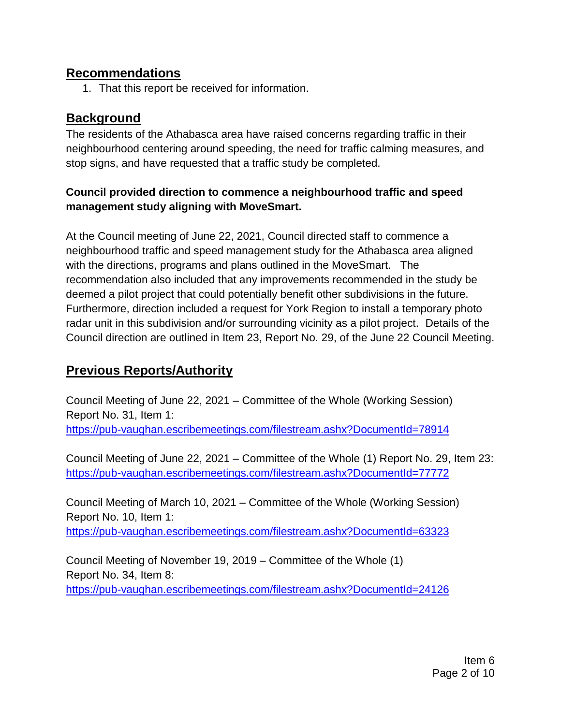#### **Recommendations**

1. That this report be received for information.

### **Background**

The residents of the Athabasca area have raised concerns regarding traffic in their neighbourhood centering around speeding, the need for traffic calming measures, and stop signs, and have requested that a traffic study be completed.

#### **Council provided direction to commence a neighbourhood traffic and speed management study aligning with MoveSmart.**

At the Council meeting of June 22, 2021, Council directed staff to commence a neighbourhood traffic and speed management study for the Athabasca area aligned with the directions, programs and plans outlined in the MoveSmart. The recommendation also included that any improvements recommended in the study be deemed a pilot project that could potentially benefit other subdivisions in the future. Furthermore, direction included a request for York Region to install a temporary photo radar unit in this subdivision and/or surrounding vicinity as a pilot project. Details of the Council direction are outlined in Item 23, Report No. 29, of the June 22 Council Meeting.

# **Previous Reports/Authority**

Council Meeting of June 22, 2021 – Committee of the Whole (Working Session) Report No. 31, Item 1: <https://pub-vaughan.escribemeetings.com/filestream.ashx?DocumentId=78914>

Council Meeting of June 22, 2021 – Committee of the Whole (1) Report No. 29, Item 23: <https://pub-vaughan.escribemeetings.com/filestream.ashx?DocumentId=77772>

Council Meeting of March 10, 2021 – Committee of the Whole (Working Session) Report No. 10, Item 1: <https://pub-vaughan.escribemeetings.com/filestream.ashx?DocumentId=63323>

Council Meeting of November 19, 2019 – Committee of the Whole (1) Report No. 34, Item 8: <https://pub-vaughan.escribemeetings.com/filestream.ashx?DocumentId=24126>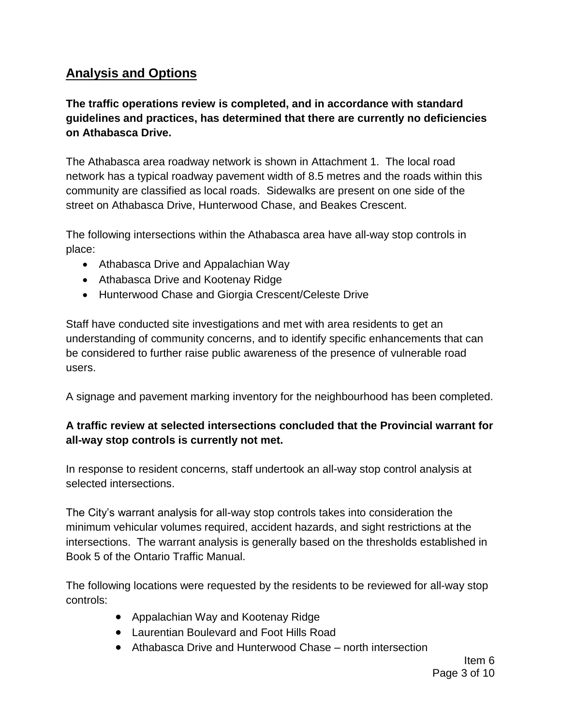## **Analysis and Options**

### **The traffic operations review is completed, and in accordance with standard guidelines and practices, has determined that there are currently no deficiencies on Athabasca Drive.**

The Athabasca area roadway network is shown in Attachment 1. The local road network has a typical roadway pavement width of 8.5 metres and the roads within this community are classified as local roads. Sidewalks are present on one side of the street on Athabasca Drive, Hunterwood Chase, and Beakes Crescent.

The following intersections within the Athabasca area have all-way stop controls in place:

- Athabasca Drive and Appalachian Way
- Athabasca Drive and Kootenay Ridge
- Hunterwood Chase and Giorgia Crescent/Celeste Drive

Staff have conducted site investigations and met with area residents to get an understanding of community concerns, and to identify specific enhancements that can be considered to further raise public awareness of the presence of vulnerable road users.

A signage and pavement marking inventory for the neighbourhood has been completed.

### **A traffic review at selected intersections concluded that the Provincial warrant for all-way stop controls is currently not met.**

In response to resident concerns, staff undertook an all-way stop control analysis at selected intersections.

The City's warrant analysis for all-way stop controls takes into consideration the minimum vehicular volumes required, accident hazards, and sight restrictions at the intersections. The warrant analysis is generally based on the thresholds established in Book 5 of the Ontario Traffic Manual.

The following locations were requested by the residents to be reviewed for all-way stop controls:

- Appalachian Way and Kootenay Ridge
- Laurentian Boulevard and Foot Hills Road
- Athabasca Drive and Hunterwood Chase north intersection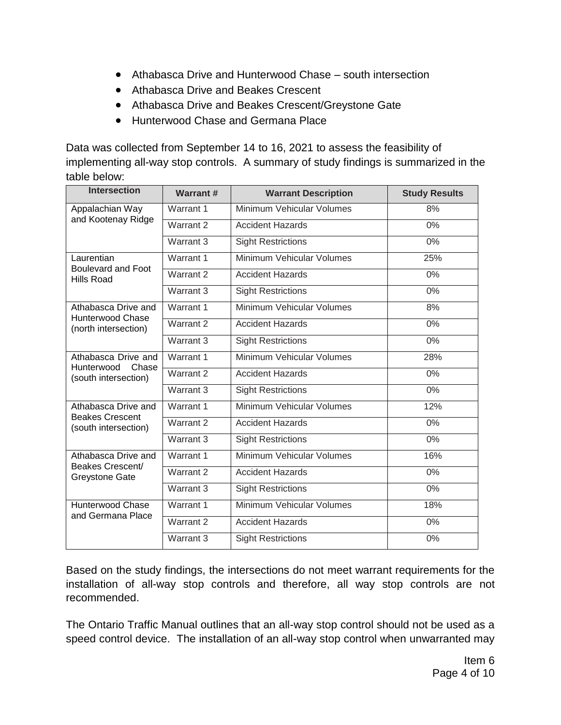- Athabasca Drive and Hunterwood Chase south intersection
- Athabasca Drive and Beakes Crescent
- Athabasca Drive and Beakes Crescent/Greystone Gate
- Hunterwood Chase and Germana Place

Data was collected from September 14 to 16, 2021 to assess the feasibility of implementing all-way stop controls. A summary of study findings is summarized in the table below:

| <b>Intersection</b>                                                    | <b>Warrant#</b> | <b>Warrant Description</b> | <b>Study Results</b> |
|------------------------------------------------------------------------|-----------------|----------------------------|----------------------|
| Appalachian Way<br>and Kootenay Ridge                                  | Warrant 1       | Minimum Vehicular Volumes  | 8%                   |
|                                                                        | Warrant 2       | <b>Accident Hazards</b>    | $0\%$                |
|                                                                        | Warrant 3       | <b>Sight Restrictions</b>  | $0\%$                |
| Laurentian<br>Boulevard and Foot<br>Hills Road                         | Warrant 1       | Minimum Vehicular Volumes  | 25%                  |
|                                                                        | Warrant 2       | <b>Accident Hazards</b>    | 0%                   |
|                                                                        | Warrant 3       | <b>Sight Restrictions</b>  | 0%                   |
| Athabasca Drive and<br><b>Hunterwood Chase</b><br>(north intersection) | Warrant 1       | Minimum Vehicular Volumes  | 8%                   |
|                                                                        | Warrant 2       | <b>Accident Hazards</b>    | 0%                   |
|                                                                        | Warrant 3       | <b>Sight Restrictions</b>  | 0%                   |
| Athabasca Drive and<br>Hunterwood<br>Chase<br>(south intersection)     | Warrant 1       | Minimum Vehicular Volumes  | 28%                  |
|                                                                        | Warrant 2       | <b>Accident Hazards</b>    | 0%                   |
|                                                                        | Warrant 3       | <b>Sight Restrictions</b>  | $0\%$                |
| Athabasca Drive and<br><b>Beakes Crescent</b><br>(south intersection)  | Warrant 1       | Minimum Vehicular Volumes  | 12%                  |
|                                                                        | Warrant 2       | <b>Accident Hazards</b>    | 0%                   |
|                                                                        | Warrant 3       | <b>Sight Restrictions</b>  | $0\%$                |
| Athabasca Drive and<br>Beakes Crescent/<br><b>Greystone Gate</b>       | Warrant 1       | Minimum Vehicular Volumes  | 16%                  |
|                                                                        | Warrant 2       | <b>Accident Hazards</b>    | $0\%$                |
|                                                                        | Warrant 3       | <b>Sight Restrictions</b>  | 0%                   |
| Hunterwood Chase<br>and Germana Place                                  | Warrant 1       | Minimum Vehicular Volumes  | 18%                  |
|                                                                        | Warrant 2       | <b>Accident Hazards</b>    | $0\%$                |
|                                                                        | Warrant 3       | <b>Sight Restrictions</b>  | 0%                   |

Based on the study findings, the intersections do not meet warrant requirements for the installation of all-way stop controls and therefore, all way stop controls are not recommended.

The Ontario Traffic Manual outlines that an all-way stop control should not be used as a speed control device. The installation of an all-way stop control when unwarranted may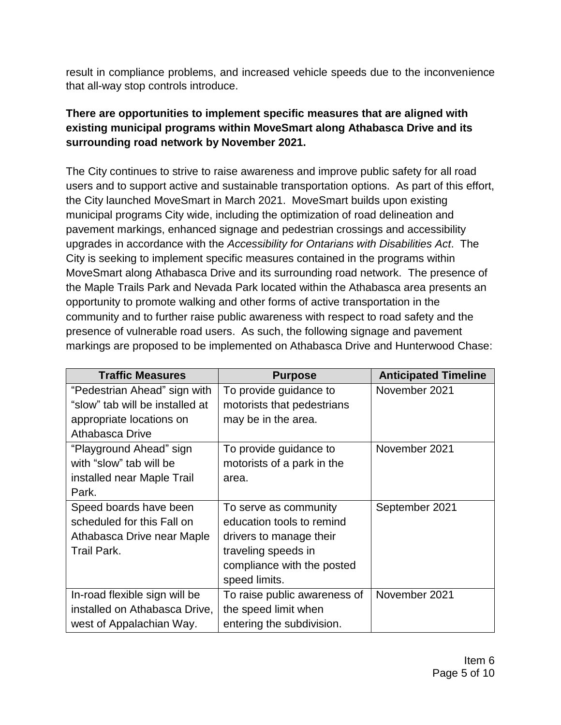result in compliance problems, and increased vehicle speeds due to the inconvenience that all-way stop controls introduce.

#### **There are opportunities to implement specific measures that are aligned with existing municipal programs within MoveSmart along Athabasca Drive and its surrounding road network by November 2021.**

The City continues to strive to raise awareness and improve public safety for all road users and to support active and sustainable transportation options. As part of this effort, the City launched MoveSmart in March 2021. MoveSmart builds upon existing municipal programs City wide, including the optimization of road delineation and pavement markings, enhanced signage and pedestrian crossings and accessibility upgrades in accordance with the *Accessibility for Ontarians with Disabilities Act*. The City is seeking to implement specific measures contained in the programs within MoveSmart along Athabasca Drive and its surrounding road network. The presence of the Maple Trails Park and Nevada Park located within the Athabasca area presents an opportunity to promote walking and other forms of active transportation in the community and to further raise public awareness with respect to road safety and the presence of vulnerable road users. As such, the following signage and pavement markings are proposed to be implemented on Athabasca Drive and Hunterwood Chase:

| <b>Traffic Measures</b>         | <b>Purpose</b>               | <b>Anticipated Timeline</b> |
|---------------------------------|------------------------------|-----------------------------|
| "Pedestrian Ahead" sign with    | To provide guidance to       | November 2021               |
| "slow" tab will be installed at | motorists that pedestrians   |                             |
| appropriate locations on        | may be in the area.          |                             |
| Athabasca Drive                 |                              |                             |
| "Playground Ahead" sign         | To provide guidance to       | November 2021               |
| with "slow" tab will be         | motorists of a park in the   |                             |
| installed near Maple Trail      | area.                        |                             |
| Park.                           |                              |                             |
| Speed boards have been          | To serve as community        | September 2021              |
| scheduled for this Fall on      | education tools to remind    |                             |
| Athabasca Drive near Maple      | drivers to manage their      |                             |
| <b>Trail Park.</b>              | traveling speeds in          |                             |
|                                 | compliance with the posted   |                             |
|                                 | speed limits.                |                             |
| In-road flexible sign will be   | To raise public awareness of | November 2021               |
| installed on Athabasca Drive,   | the speed limit when         |                             |
| west of Appalachian Way.        | entering the subdivision.    |                             |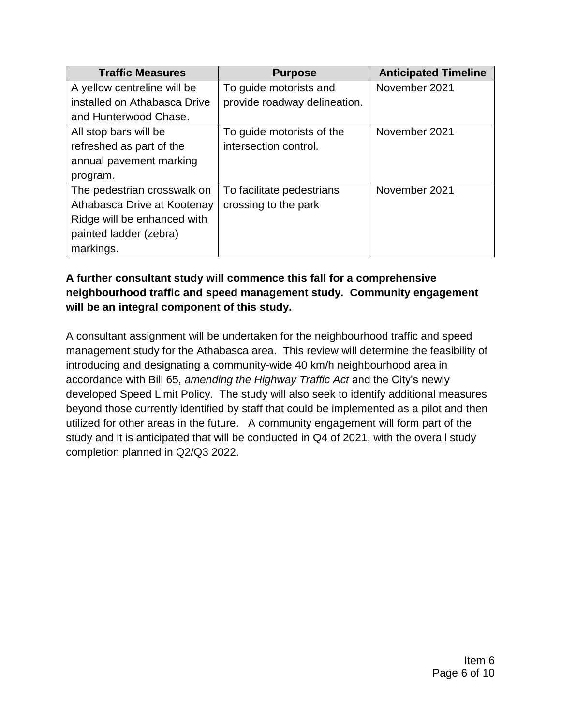| <b>Traffic Measures</b>      | <b>Purpose</b>               | <b>Anticipated Timeline</b> |
|------------------------------|------------------------------|-----------------------------|
| A yellow centreline will be  | To guide motorists and       | November 2021               |
| installed on Athabasca Drive | provide roadway delineation. |                             |
| and Hunterwood Chase.        |                              |                             |
| All stop bars will be        | To guide motorists of the    | November 2021               |
| refreshed as part of the     | intersection control.        |                             |
| annual pavement marking      |                              |                             |
| program.                     |                              |                             |
| The pedestrian crosswalk on  | To facilitate pedestrians    | November 2021               |
| Athabasca Drive at Kootenay  | crossing to the park         |                             |
| Ridge will be enhanced with  |                              |                             |
| painted ladder (zebra)       |                              |                             |
| markings.                    |                              |                             |

#### **A further consultant study will commence this fall for a comprehensive neighbourhood traffic and speed management study. Community engagement will be an integral component of this study.**

A consultant assignment will be undertaken for the neighbourhood traffic and speed management study for the Athabasca area. This review will determine the feasibility of introducing and designating a community-wide 40 km/h neighbourhood area in accordance with Bill 65, *amending the Highway Traffic Act* and the City's newly developed Speed Limit Policy. The study will also seek to identify additional measures beyond those currently identified by staff that could be implemented as a pilot and then utilized for other areas in the future. A community engagement will form part of the study and it is anticipated that will be conducted in Q4 of 2021, with the overall study completion planned in Q2/Q3 2022.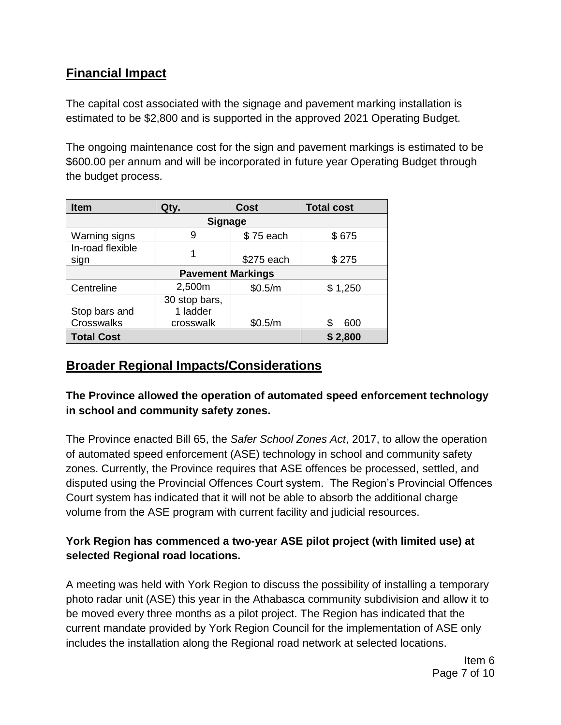## **Financial Impact**

The capital cost associated with the signage and pavement marking installation is estimated to be \$2,800 and is supported in the approved 2021 Operating Budget.

The ongoing maintenance cost for the sign and pavement markings is estimated to be \$600.00 per annum and will be incorporated in future year Operating Budget through the budget process.

| <b>Item</b>              | Qty.          | <b>Cost</b> | <b>Total cost</b> |  |  |
|--------------------------|---------------|-------------|-------------------|--|--|
| <b>Signage</b>           |               |             |                   |  |  |
| Warning signs            | 9             | \$75 each   | \$675             |  |  |
| In-road flexible         |               |             |                   |  |  |
| sign                     |               | \$275 each  | \$275             |  |  |
| <b>Pavement Markings</b> |               |             |                   |  |  |
| Centreline               | 2,500m        | \$0.5/m     | \$1,250           |  |  |
|                          | 30 stop bars, |             |                   |  |  |
| Stop bars and            | 1 ladder      |             |                   |  |  |
| Crosswalks               | crosswalk     | \$0.5/m     | 600               |  |  |
| <b>Total Cost</b>        |               |             | \$2,800           |  |  |

## **Broader Regional Impacts/Considerations**

**The Province allowed the operation of automated speed enforcement technology in school and community safety zones.**

The Province enacted Bill 65, the *Safer School Zones Act*, 2017, to allow the operation of automated speed enforcement (ASE) technology in school and community safety zones. Currently, the Province requires that ASE offences be processed, settled, and disputed using the Provincial Offences Court system. The Region's Provincial Offences Court system has indicated that it will not be able to absorb the additional charge volume from the ASE program with current facility and judicial resources.

### **York Region has commenced a two-year ASE pilot project (with limited use) at selected Regional road locations.**

A meeting was held with York Region to discuss the possibility of installing a temporary photo radar unit (ASE) this year in the Athabasca community subdivision and allow it to be moved every three months as a pilot project. The Region has indicated that the current mandate provided by York Region Council for the implementation of ASE only includes the installation along the Regional road network at selected locations.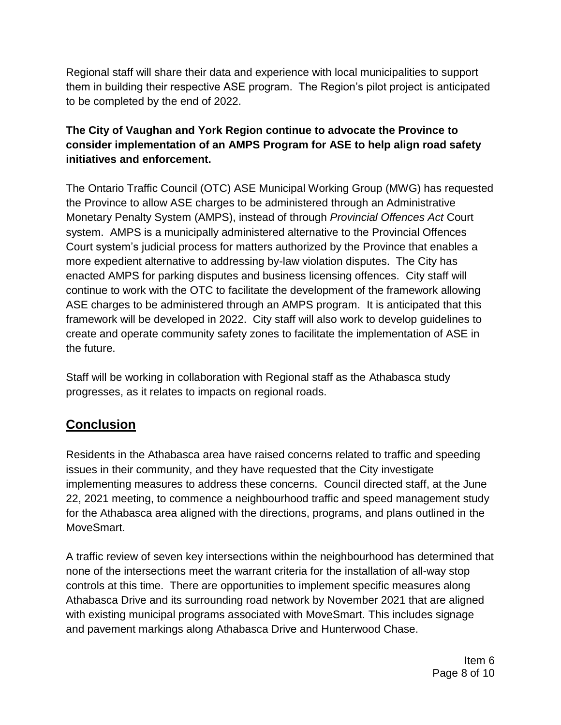Regional staff will share their data and experience with local municipalities to support them in building their respective ASE program. The Region's pilot project is anticipated to be completed by the end of 2022.

#### **The City of Vaughan and York Region continue to advocate the Province to consider implementation of an AMPS Program for ASE to help align road safety initiatives and enforcement.**

The Ontario Traffic Council (OTC) ASE Municipal Working Group (MWG) has requested the Province to allow ASE charges to be administered through an Administrative Monetary Penalty System (AMPS), instead of through *Provincial Offences Act* Court system. AMPS is a municipally administered alternative to the Provincial Offences Court system's judicial process for matters authorized by the Province that enables a more expedient alternative to addressing by-law violation disputes. The City has enacted AMPS for parking disputes and business licensing offences. City staff will continue to work with the OTC to facilitate the development of the framework allowing ASE charges to be administered through an AMPS program. It is anticipated that this framework will be developed in 2022. City staff will also work to develop guidelines to create and operate community safety zones to facilitate the implementation of ASE in the future.

Staff will be working in collaboration with Regional staff as the Athabasca study progresses, as it relates to impacts on regional roads.

# **Conclusion**

Residents in the Athabasca area have raised concerns related to traffic and speeding issues in their community, and they have requested that the City investigate implementing measures to address these concerns. Council directed staff, at the June 22, 2021 meeting, to commence a neighbourhood traffic and speed management study for the Athabasca area aligned with the directions, programs, and plans outlined in the MoveSmart.

A traffic review of seven key intersections within the neighbourhood has determined that none of the intersections meet the warrant criteria for the installation of all-way stop controls at this time. There are opportunities to implement specific measures along Athabasca Drive and its surrounding road network by November 2021 that are aligned with existing municipal programs associated with MoveSmart. This includes signage and pavement markings along Athabasca Drive and Hunterwood Chase.